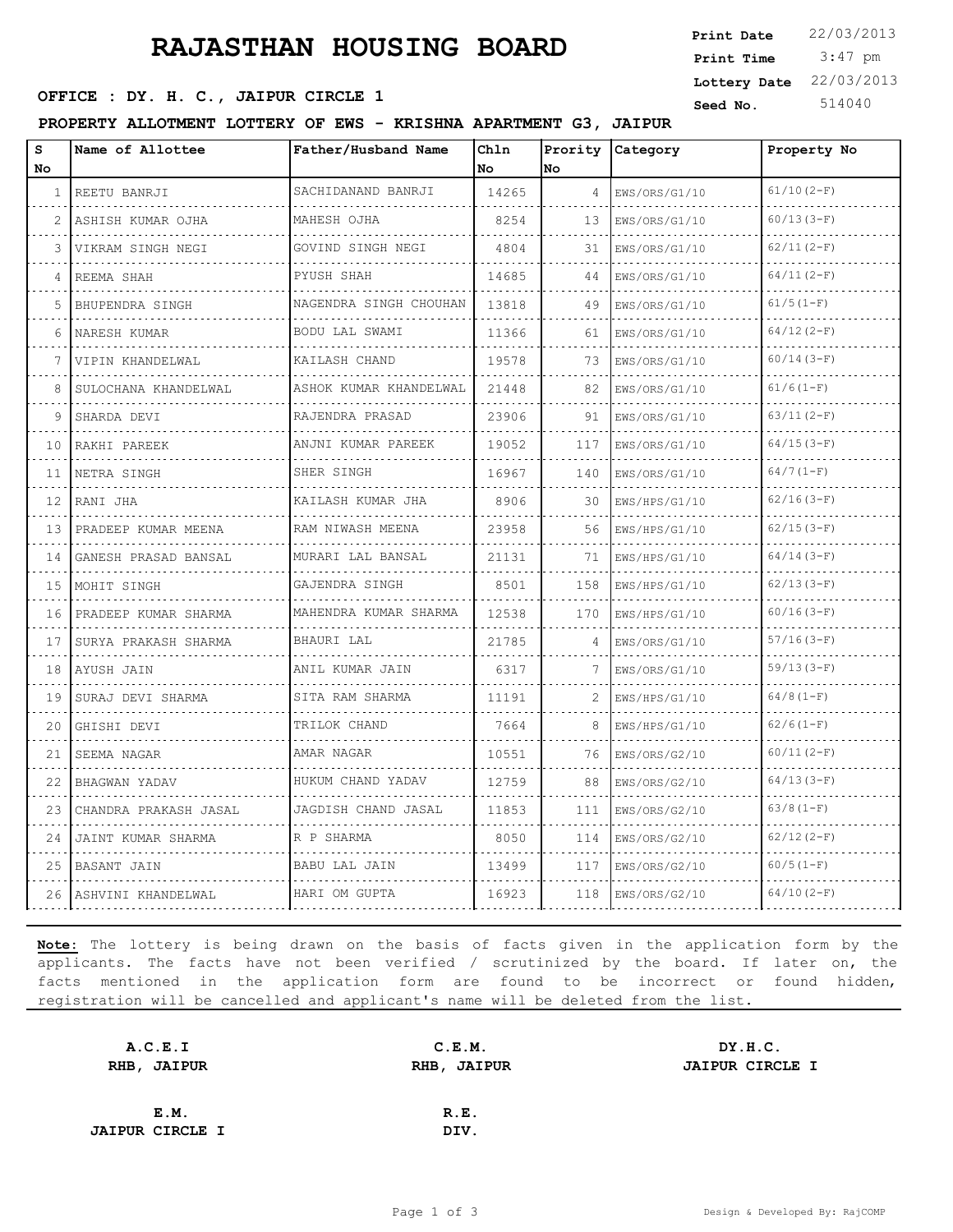# **RAJASTHAN HOUSING BOARD**

**PROPERTY ALLOTMENT LOTTERY OF EWS - KRISHNA APARTMENT G3, JAIPUR**

| s  | Name of Allottee          | Father/Husband Name    | Chln      | Prority | <b>Category</b> | Property No  |
|----|---------------------------|------------------------|-----------|---------|-----------------|--------------|
| No |                           |                        | <b>No</b> | lno.    |                 |              |
| 1  | REETU BANRJI              | SACHIDANAND BANRJI     | 14265     | 4       | EWS/ORS/G1/10   | $61/10(2-F)$ |
| 2  | ASHISH KUMAR OJHA         | MAHESH OJHA            | 8254      | 13      | EWS/ORS/G1/10   | $60/13(3-F)$ |
| 3  | VIKRAM SINGH NEGI         | GOVIND SINGH NEGI      | 4804      | 31      | EWS/ORS/G1/10   | $62/11(2-F)$ |
| 4  | REEMA SHAH                | PYUSH SHAH             | 14685     | 44      | EWS/ORS/G1/10   | $64/11(2-F)$ |
| 5  | BHUPENDRA SINGH           | NAGENDRA SINGH CHOUHAN | 13818     | 49      | EWS/ORS/G1/10   | $61/5(1-F)$  |
| 6  | NARESH KUMAR              | BODU LAL SWAMI         | 11366     | 61      | EWS/ORS/G1/10   | $64/12(2-F)$ |
|    | VIPIN KHANDELWAL          | KAILASH CHAND          | 19578     | 73      | EWS/ORS/G1/10   | $60/14(3-F)$ |
| 8  | SULOCHANA KHANDELWAL      | ASHOK KUMAR KHANDELWAL | 21448     | 82      | EWS/ORS/G1/10   | $61/6(1-F)$  |
| q  | SHARDA DEVI               | RAJENDRA PRASAD        | 23906     | 91      | EWS/ORS/G1/10   | $63/11(2-F)$ |
| 10 | RAKHI PAREEK              | ANJNI KUMAR PAREEK     | 19052     | 117     | EWS/ORS/G1/10   | $64/15(3-F)$ |
| 11 | INETRA SINGH              | SHER SINGH             | 16967     | 140     | EWS/ORS/G1/10   | $64/7(1-F)$  |
| 12 | RANI JHA                  | KAILASH KUMAR JHA      | 8906      | 30      | EWS/HPS/G1/10   | $62/16(3-F)$ |
| 13 | PRADEEP KUMAR MEENA       | RAM NIWASH MEENA       | 23958     | 56      | EWS/HPS/G1/10   | $62/15(3-F)$ |
| 14 | GANESH PRASAD BANSAL      | .<br>MURARI LAL BANSAL | 21131     | 71      | EWS/HPS/G1/10   | $64/14(3-F)$ |
| 15 | MOHIT SINGH               | GAJENDRA SINGH         | 8501      | 158     | EWS/HPS/G1/10   | $62/13(3-F)$ |
| 16 | PRADEEP KUMAR SHARMA<br>. | MAHENDRA KUMAR SHARMA  | 12538     | 170     | EWS/HPS/G1/10   | $60/16(3-F)$ |
| 17 | SURYA PRAKASH SHARMA      | BHAURI LAL             | 21785     | 4       | EWS/ORS/G1/10   | $57/16(3-F)$ |
| 18 | LAYUSH JAIN               | ANIL KUMAR JAIN        | 6317      |         | EWS/ORS/G1/10   | $59/13(3-F)$ |
| 19 | SURAJ DEVI SHARMA         | SITA RAM SHARMA        | 11191     | 2       | EWS/HPS/G1/10   | $64/8(1-F)$  |
| 20 | GHISHI DEVI               | TRILOK CHAND<br>.      | 7664      | 8       | EWS/HPS/G1/10   | $62/6(1-F)$  |
| 21 | SEEMA NAGAR               | AMAR NAGAR             | 10551     | 76      | EWS/ORS/G2/10   | $60/11(2-F)$ |
| 22 | BHAGWAN YADAV             | HUKUM CHAND YADAV      | 12759     | 88      | EWS/ORS/G2/10   | $64/13(3-F)$ |
| 23 | CHANDRA PRAKASH JASAL     | JAGDISH CHAND JASAL    | 11853     | 111     | EWS/ORS/G2/10   | $63/8(1-F)$  |
| 24 | JAINT KUMAR SHARMA        | R P SHARMA             | 8050      | 114     | EWS/ORS/G2/10   | $62/12(2-F)$ |
| 25 | BASANT JAIN               | BABU LAL JAIN          | 13499     | 117     | EWS/ORS/G2/10   | $60/5(1-F)$  |
|    | 26 ASHVINI KHANDELWAL     | HARI OM GUPTA          | 16923     | 118     | EWS/ORS/G2/10   | $64/10(2-F)$ |

**Note:** The lottery is being drawn on the basis of facts given in the application form by the applicants. The facts have not been verified / scrutinized by the board. If later on, the facts mentioned in the application form are found to be incorrect or found hidden, registration will be cancelled and applicant's name will be deleted from the list.

| A.C.E.I                | C.E.M.      | DY.H.C.                |
|------------------------|-------------|------------------------|
| RHB, JAIPUR            | RHB, JAIPUR | <b>JAIPUR CIRCLE I</b> |
|                        |             |                        |
| E.M.                   | R.E.        |                        |
| <b>JAIPUR CIRCLE I</b> | DIV.        |                        |

 3:47 pm **Print Date**  $22/03/2013$ **Print Time Lottery Date** 22/03/2013

## **SEED OFFICE : DY. H. C., JAIPUR CIRCLE 1** Seed No. 514040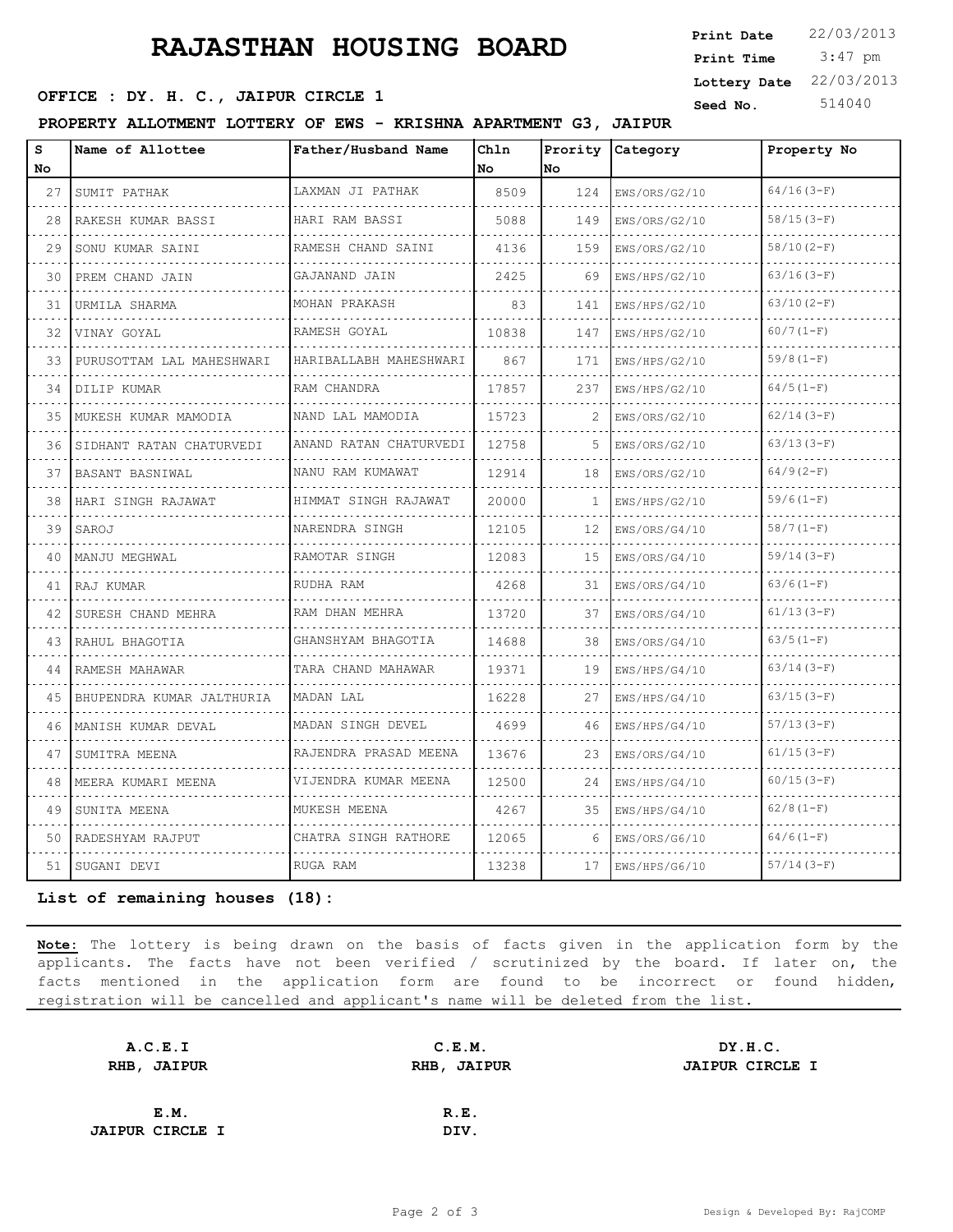# **RAJASTHAN HOUSING BOARD**

## **SEED OFFICE : DY. H. C., JAIPUR CIRCLE 1** Seed No. 514040

**PROPERTY ALLOTMENT LOTTERY OF EWS - KRISHNA APARTMENT G3, JAIPUR**

| s<br>No | Name of Allottee          | Father/Husband Name                | Chln<br>No | Prority<br>No | Category      | Property No  |
|---------|---------------------------|------------------------------------|------------|---------------|---------------|--------------|
| 27      | SUMIT PATHAK<br>.         | LAXMAN JI PATHAK                   | 8509       | 124           | EWS/ORS/G2/10 | $64/16(3-F)$ |
| 28      | RAKESH KUMAR BASSI        | HARI RAM BASSI                     | 5088       | 149           | EWS/ORS/G2/10 | $58/15(3-F)$ |
| 29      | SONU KUMAR SAINI          | RAMESH CHAND SAINI                 | 4136       | 159           | EWS/ORS/G2/10 | $58/10(2-F)$ |
| 30      | PREM CHAND JAIN           | .<br>GAJANAND JAIN                 | 2425       | 69            | EWS/HPS/G2/10 | $63/16(3-F)$ |
| 31      | URMILA SHARMA             | MOHAN PRAKASH                      | 83         | 141           | EWS/HPS/G2/10 | $63/10(2-F)$ |
| 32      | VINAY GOYAL               | RAMESH GOYAL                       | 10838      | 147           | EWS/HPS/G2/10 | $60/7(1-F)$  |
| 33      | PURUSOTTAM LAL MAHESHWARI | <u>.</u><br>HARIBALLABH MAHESHWARI | 867        | 171           | EWS/HPS/G2/10 | $59/8(1-F)$  |
| 34      | DILIP KUMAR               | RAM CHANDRA                        | 17857      | 237           | EWS/HPS/G2/10 | $64/5(1-F)$  |
| 35      | MUKESH KUMAR MAMODIA      | NAND LAL MAMODIA                   | 15723      | 2             | EWS/ORS/G2/10 | $62/14(3-F)$ |
| 36      | SIDHANT RATAN CHATURVEDI  | ANAND RATAN CHATURVEDI             | 12758      | 5.            | EWS/ORS/G2/10 | $63/13(3-F)$ |
| 37      | BASANT BASNIWAL           | NANU RAM KUMAWAT                   | 12914      | 18            | EWS/ORS/G2/10 | $64/9(2-F)$  |
| 38      | HARI SINGH RAJAWAT        | HIMMAT SINGH RAJAWAT               | 20000      | 1             | EWS/HPS/G2/10 | $59/6(1-F)$  |
| 39      | SAROJ                     | NARENDRA SINGH                     | 12105      | 12            | EWS/ORS/G4/10 | $58/7(1-F)$  |
| 40      | MANJU MEGHWAL             | RAMOTAR SINGH                      | 12083      | 15            | EWS/ORS/G4/10 | $59/14(3-F)$ |
| 41      | RAJ KUMAR                 | RUDHA RAM                          | 4268       | 31            | EWS/ORS/G4/10 | $63/6(1-F)$  |
| 42      | SURESH CHAND MEHRA        | RAM DHAN MEHRA<br>.                | 13720      | 37            | EWS/ORS/G4/10 | $61/13(3-F)$ |
| 43      | RAHUL BHAGOTIA            | GHANSHYAM BHAGOTIA                 | 14688      | 38            | EWS/ORS/G4/10 | $63/5(1-F)$  |
| 44      | RAMESH MAHAWAR            | TARA CHAND MAHAWAR                 | 19371      | 19            | EWS/HPS/G4/10 | $63/14(3-F)$ |
| 45      | BHUPENDRA KUMAR JALTHURIA | MADAN LAL                          | 16228      | 27            | EWS/HPS/G4/10 | $63/15(3-F)$ |
| 46      | MANISH KUMAR DEVAL        | MADAN SINGH DEVEL                  | 4699       | 46            | EWS/HPS/G4/10 | $57/13(3-F)$ |
| 47      | SUMITRA MEENA             | RAJENDRA PRASAD MEENA              | 13676      | 23            | EWS/ORS/G4/10 | $61/15(3-F)$ |
| 48      | MEERA KUMARI MEENA        | VIJENDRA KUMAR MEENA               | 12500      | 24            | EWS/HPS/G4/10 | $60/15(3-F)$ |
| 49      | SUNITA MEENA              | MUKESH MEENA                       | 4267       | 35            | EWS/HPS/G4/10 | $62/8(1-F)$  |
| 50      | RADESHYAM RAJPUT          | CHATRA SINGH RATHORE               | 12065      | 6             | EWS/ORS/G6/10 | $64/6(1-F)$  |
| 51      | SUGANI DEVI               | RUGA RAM                           | 13238      | 17            | EWS/HPS/G6/10 | $57/14(3-F)$ |

**List of remaining houses (18):** 

**Note:** The lottery is being drawn on the basis of facts given in the application form by the applicants. The facts have not been verified / scrutinized by the board. If later on, the facts mentioned in the application form are found to be incorrect or found hidden, registration will be cancelled and applicant's name will be deleted from the list.

| A.C.E.I                | C.E.M.      | DY.H.C.                |
|------------------------|-------------|------------------------|
| <b>RHB, JAIPUR</b>     | RHB, JAIPUR | <b>JAIPUR CIRCLE I</b> |
|                        |             |                        |
| E.M.                   | R.E.        |                        |
| <b>JAIPUR CIRCLE I</b> | DIV.        |                        |

3:47 pm

**Print Date**  $22/03/2013$ 

**Lottery Date** 22/03/2013

**Print Time**